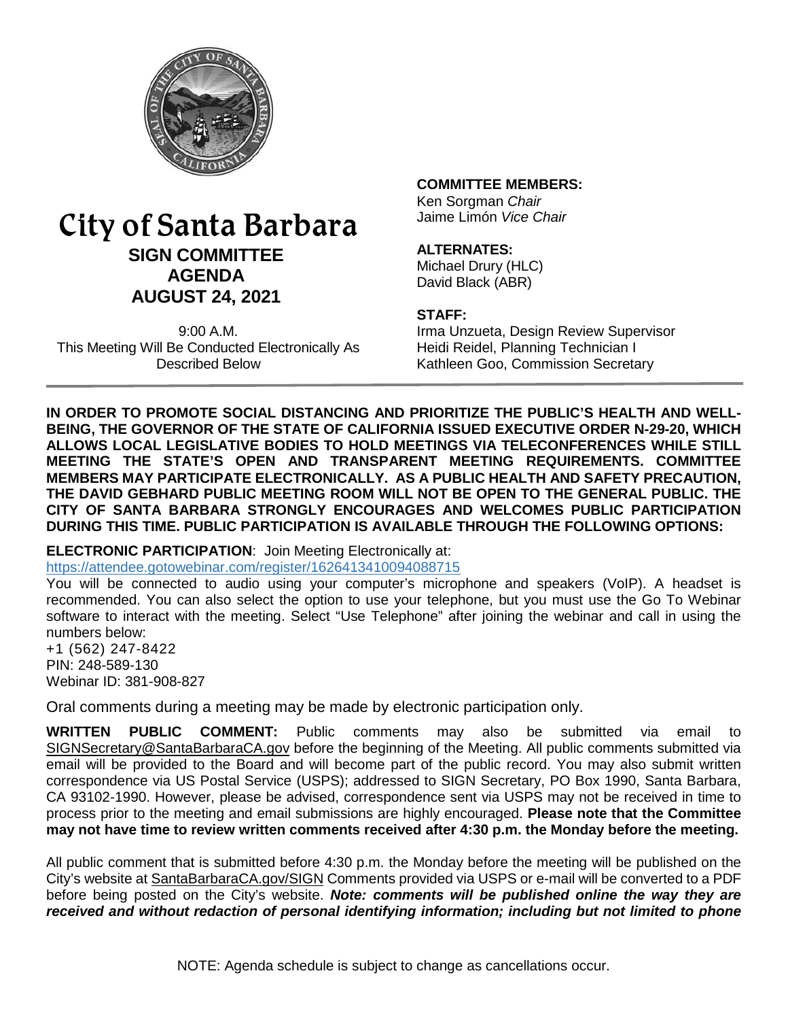

# City of Santa Barbara **SIGN COMMITTEE AGENDA AUGUST 24, 2021**

9:00 A.M. This Meeting Will Be Conducted Electronically As Described Below

### **COMMITTEE MEMBERS:**

Ken Sorgman *Chair* Jaime Limón *Vice Chair*

### **ALTERNATES:**

Michael Drury (HLC) David Black (ABR)

#### **STAFF:**

Irma Unzueta, Design Review Supervisor Heidi Reidel, Planning Technician I Kathleen Goo, Commission Secretary

**IN ORDER TO PROMOTE SOCIAL DISTANCING AND PRIORITIZE THE PUBLIC'S HEALTH AND WELL-BEING, THE GOVERNOR OF THE STATE OF CALIFORNIA ISSUED EXECUTIVE ORDER N-29-20, WHICH ALLOWS LOCAL LEGISLATIVE BODIES TO HOLD MEETINGS VIA TELECONFERENCES WHILE STILL MEETING THE STATE'S OPEN AND TRANSPARENT MEETING REQUIREMENTS. COMMITTEE MEMBERS MAY PARTICIPATE ELECTRONICALLY. AS A PUBLIC HEALTH AND SAFETY PRECAUTION, THE DAVID GEBHARD PUBLIC MEETING ROOM WILL NOT BE OPEN TO THE GENERAL PUBLIC. THE CITY OF SANTA BARBARA STRONGLY ENCOURAGES AND WELCOMES PUBLIC PARTICIPATION DURING THIS TIME. PUBLIC PARTICIPATION IS AVAILABLE THROUGH THE FOLLOWING OPTIONS:**

**ELECTRONIC PARTICIPATION**: Join Meeting Electronically at: <https://attendee.gotowebinar.com/register/1626413410094088715>

You will be connected to audio using your computer's microphone and speakers (VoIP). A headset is recommended. You can also select the option to use your telephone, but you must use the Go To Webinar software to interact with the meeting. Select "Use Telephone" after joining the webinar and call in using the numbers below:

+1 (562) 247-8422 PIN: 248-589-130 Webinar ID: 381-908-827

Oral comments during a meeting may be made by electronic participation only.

**WRITTEN PUBLIC COMMENT:** Public comments may also be submitted via email to [SIGNSecretary@SantaBarbaraCA.gov](mailto:SIGNSecretary@SantaBarbaraCA.gov) before the beginning of the Meeting. All public comments submitted via email will be provided to the Board and will become part of the public record. You may also submit written correspondence via US Postal Service (USPS); addressed to SIGN Secretary, PO Box 1990, Santa Barbara, CA 93102-1990. However, please be advised, correspondence sent via USPS may not be received in time to process prior to the meeting and email submissions are highly encouraged. **Please note that the Committee may not have time to review written comments received after 4:30 p.m. the Monday before the meeting.**

All public comment that is submitted before 4:30 p.m. the Monday before the meeting will be published on the City's website at [SantaBarbaraCA.gov/SIGN](http://www.santabarbaraca.gov/SIGN) Comments provided via USPS or e-mail will be converted to a PDF before being posted on the City's website. *Note: comments will be published online the way they are received and without redaction of personal identifying information; including but not limited to phone*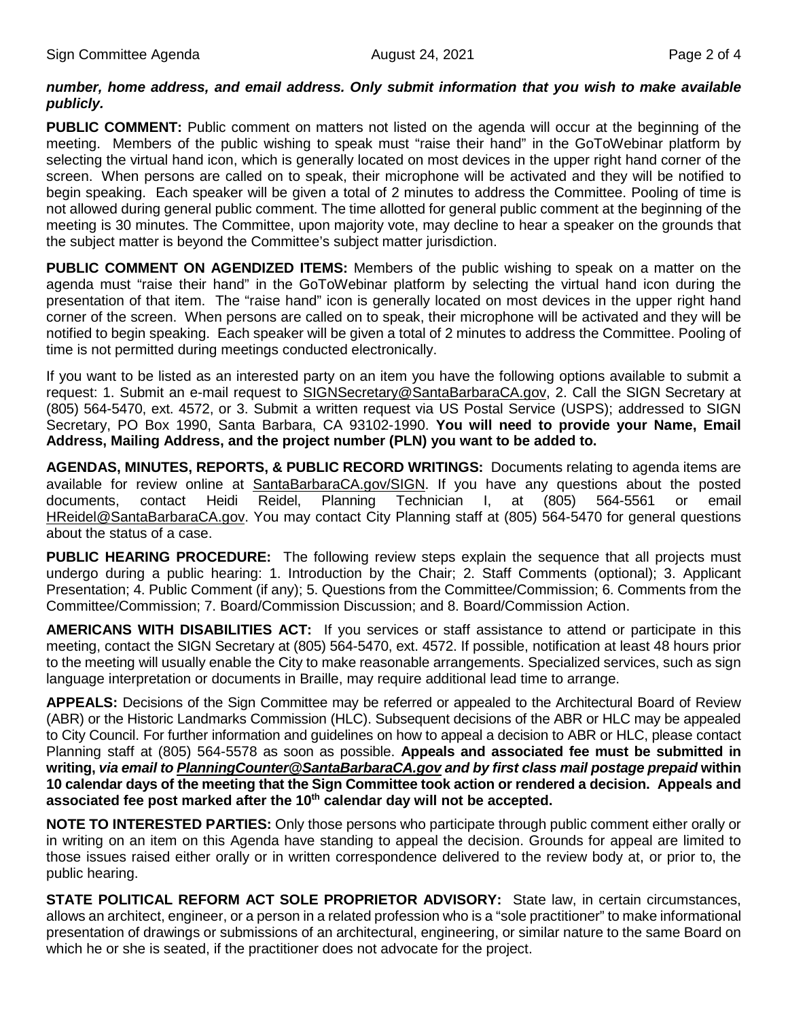### *number, home address, and email address. Only submit information that you wish to make available publicly.*

**PUBLIC COMMENT:** Public comment on matters not listed on the agenda will occur at the beginning of the meeting. Members of the public wishing to speak must "raise their hand" in the GoToWebinar platform by selecting the virtual hand icon, which is generally located on most devices in the upper right hand corner of the screen. When persons are called on to speak, their microphone will be activated and they will be notified to begin speaking. Each speaker will be given a total of 2 minutes to address the Committee. Pooling of time is not allowed during general public comment. The time allotted for general public comment at the beginning of the meeting is 30 minutes. The Committee, upon majority vote, may decline to hear a speaker on the grounds that the subject matter is beyond the Committee's subject matter jurisdiction.

**PUBLIC COMMENT ON AGENDIZED ITEMS:** Members of the public wishing to speak on a matter on the agenda must "raise their hand" in the GoToWebinar platform by selecting the virtual hand icon during the presentation of that item. The "raise hand" icon is generally located on most devices in the upper right hand corner of the screen. When persons are called on to speak, their microphone will be activated and they will be notified to begin speaking. Each speaker will be given a total of 2 minutes to address the Committee. Pooling of time is not permitted during meetings conducted electronically.

If you want to be listed as an interested party on an item you have the following options available to submit a request: 1. Submit an e-mail request to [SIGNSecretary@SantaBarbaraCA.gov,](mailto:SIGNSecretary@SantaBarbaraCA.gov) 2. Call the SIGN Secretary at (805) 564-5470, ext. 4572, or 3. Submit a written request via US Postal Service (USPS); addressed to SIGN Secretary, PO Box 1990, Santa Barbara, CA 93102-1990. **You will need to provide your Name, Email Address, Mailing Address, and the project number (PLN) you want to be added to.**

**AGENDAS, MINUTES, REPORTS, & PUBLIC RECORD WRITINGS:** Documents relating to agenda items are available for review online at [SantaBarbaraCA.gov/SIGN.](http://www.santabarbaraca.gov/SIGN) If you have any questions about the posted documents, contact Heidi Reidel, Planning Technician I, at (805) 564-5561 or email [HReidel@SantaBarbaraCA.gov.](mailto:HReidel@SantaBarbaraCA.gov) You may contact City Planning staff at (805) 564-5470 for general questions about the status of a case.

**PUBLIC HEARING PROCEDURE:** The following review steps explain the sequence that all projects must undergo during a public hearing: 1. Introduction by the Chair; 2. Staff Comments (optional); 3. Applicant Presentation; 4. Public Comment (if any); 5. Questions from the Committee/Commission; 6. Comments from the Committee/Commission; 7. Board/Commission Discussion; and 8. Board/Commission Action.

**AMERICANS WITH DISABILITIES ACT:** If you services or staff assistance to attend or participate in this meeting, contact the SIGN Secretary at (805) 564-5470, ext. 4572. If possible, notification at least 48 hours prior to the meeting will usually enable the City to make reasonable arrangements. Specialized services, such as sign language interpretation or documents in Braille, may require additional lead time to arrange.

**APPEALS:** Decisions of the Sign Committee may be referred or appealed to the Architectural Board of Review (ABR) or the Historic Landmarks Commission (HLC). Subsequent decisions of the ABR or HLC may be appealed to City Council. For further information and guidelines on how to appeal a decision to ABR or HLC, please contact Planning staff at (805) 564-5578 as soon as possible. **Appeals and associated fee must be submitted in writing,** *via email t[o PlanningCounter@SantaBarbaraCA.gov](mailto:PlanningCounter@SantaBarbaraCA.gov) and by first class mail postage prepaid* **within 10 calendar days of the meeting that the Sign Committee took action or rendered a decision. Appeals and**  associated fee post marked after the 10<sup>th</sup> calendar day will not be accepted.

**NOTE TO INTERESTED PARTIES:** Only those persons who participate through public comment either orally or in writing on an item on this Agenda have standing to appeal the decision. Grounds for appeal are limited to those issues raised either orally or in written correspondence delivered to the review body at, or prior to, the public hearing.

**STATE POLITICAL REFORM ACT SOLE PROPRIETOR ADVISORY:** State law, in certain circumstances, allows an architect, engineer, or a person in a related profession who is a "sole practitioner" to make informational presentation of drawings or submissions of an architectural, engineering, or similar nature to the same Board on which he or she is seated, if the practitioner does not advocate for the project.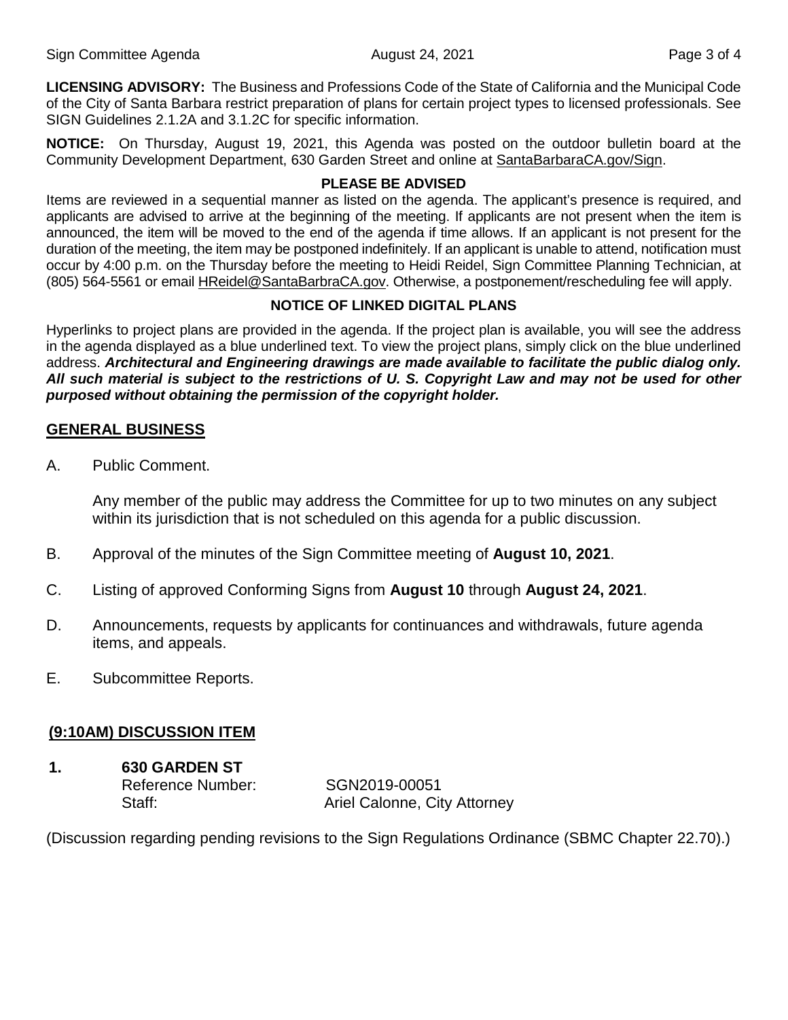**LICENSING ADVISORY:** The Business and Professions Code of the State of California and the Municipal Code of the City of Santa Barbara restrict preparation of plans for certain project types to licensed professionals. See SIGN Guidelines 2.1.2A and 3.1.2C for specific information.

**NOTICE:** On Thursday, August 19, 2021, this Agenda was posted on the outdoor bulletin board at the Community Development Department, 630 Garden Street and online at [SantaBarbaraCA.gov/Sign.](http://www.santabarbaraca.gov/Sign)

### **PLEASE BE ADVISED**

Items are reviewed in a sequential manner as listed on the agenda. The applicant's presence is required, and applicants are advised to arrive at the beginning of the meeting. If applicants are not present when the item is announced, the item will be moved to the end of the agenda if time allows. If an applicant is not present for the duration of the meeting, the item may be postponed indefinitely. If an applicant is unable to attend, notification must occur by 4:00 p.m. on the Thursday before the meeting to Heidi Reidel, Sign Committee Planning Technician, at (805) 564-5561 or email [HReidel@SantaBarbraCA.gov.](mailto:HReidel@SantaBarbraCA.gov) Otherwise, a postponement/rescheduling fee will apply.

# **NOTICE OF LINKED DIGITAL PLANS**

Hyperlinks to project plans are provided in the agenda. If the project plan is available, you will see the address in the agenda displayed as a blue underlined text. To view the project plans, simply click on the blue underlined address. *Architectural and Engineering drawings are made available to facilitate the public dialog only. All such material is subject to the restrictions of U. S. Copyright Law and may not be used for other purposed without obtaining the permission of the copyright holder.*

# **GENERAL BUSINESS**

A. Public Comment.

Any member of the public may address the Committee for up to two minutes on any subject within its jurisdiction that is not scheduled on this agenda for a public discussion.

- B. Approval of the minutes of the Sign Committee meeting of **August 10, 2021**.
- C. Listing of approved Conforming Signs from **August 10** through **August 24, 2021**.
- D. Announcements, requests by applicants for continuances and withdrawals, future agenda items, and appeals.
- E. Subcommittee Reports.

# **(9:10AM) DISCUSSION ITEM**

**1. 630 GARDEN ST** Reference Number: SGN2019-00051

Staff: Staff: Ariel Calonne, City Attorney

(Discussion regarding pending revisions to the Sign Regulations Ordinance (SBMC Chapter 22.70).)